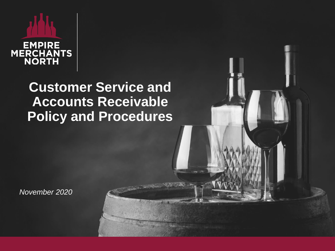# EMPIRE<br>MERCHANTS<br>NORTH

### **Customer Service and Accounts Receivable Policy and Procedures**

*November 2020*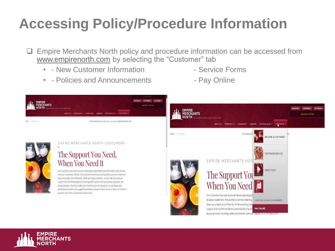# **Accessing Policy/Procedure Information**

- ❑ Empire Merchants North policy and procedure information can be accessed from [www.empirenorth.com](http://www.empiremerchants.com/) by selecting the "Customer" tab
	- - New Customer Information Service Forms
	- - Policies and Announcements Pay Online
- 
- 



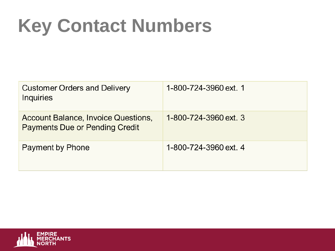# **Key Contact Numbers**

| <b>Customer Orders and Delivery</b><br>Inquiries                             | 1-800-724-3960 ext. 1 |
|------------------------------------------------------------------------------|-----------------------|
| Account Balance, Invoice Questions,<br><b>Payments Due or Pending Credit</b> | 1-800-724-3960 ext. 3 |
| Payment by Phone                                                             | 1-800-724-3960 ext. 4 |

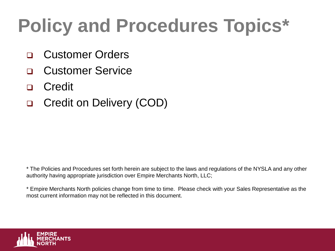# **Policy and Procedures Topics\***

- ❑ Customer Orders
- ❑ Customer Service
- ❑ Credit
- ❑ Credit on Delivery (COD)

\* The Policies and Procedures set forth herein are subject to the laws and regulations of the NYSLA and any other authority having appropriate jurisdiction over Empire Merchants North, LLC;

\* Empire Merchants North policies change from time to time. Please check with your Sales Representative as the most current information may not be reflected in this document.

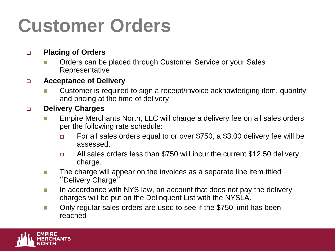# **Customer Orders**

#### ❑ **Placing of Orders**

Orders can be placed through Customer Service or your Sales Representative

#### ❑ **Acceptance of Delivery**

Customer is required to sign a receipt/invoice acknowledging item, quantity and pricing at the time of delivery

#### ❑ **Delivery Charges**

- ◼ Empire Merchants North, LLC will charge a delivery fee on all sales orders per the following rate schedule:
	- □ For all sales orders equal to or over \$750, a \$3.00 delivery fee will be assessed.
	- □ All sales orders less than \$750 will incur the current \$12.50 delivery charge.
- The charge will appear on the invoices as a separate line item titled "Delivery Charge"
- In accordance with NYS law, an account that does not pay the delivery charges will be put on the Delinquent List with the NYSLA.
- Only regular sales orders are used to see if the \$750 limit has been reached

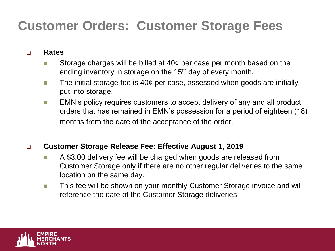### **Customer Orders: Customer Storage Fees**

#### ❑ **Rates**

- Storage charges will be billed at  $40¢$  per case per month based on the ending inventory in storage on the 15<sup>th</sup> day of every month.
- The initial storage fee is 40¢ per case, assessed when goods are initially put into storage.
- EMN's policy requires customers to accept delivery of any and all product orders that has remained in EMN's possession for a period of eighteen (18) months from the date of the acceptance of the order.

#### ❑ **Customer Storage Release Fee: Effective August 1, 2019**

- A \$3.00 delivery fee will be charged when goods are released from Customer Storage only if there are no other regular deliveries to the same location on the same day.
- This fee will be shown on your monthly Customer Storage invoice and will reference the date of the Customer Storage deliveries

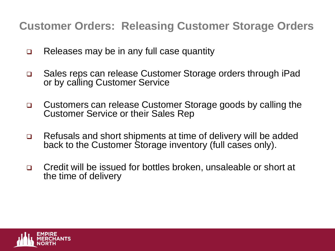**Customer Orders: Releasing Customer Storage Orders**

- ❑ Releases may be in any full case quantity
- ❑ Sales reps can release Customer Storage orders through iPad or by calling Customer Service
- ❑ Customers can release Customer Storage goods by calling the Customer Service or their Sales Rep
- ❑ Refusals and short shipments at time of delivery will be added back to the Customer Storage inventory (full cases only).
- ❑ Credit will be issued for bottles broken, unsaleable or short at the time of delivery

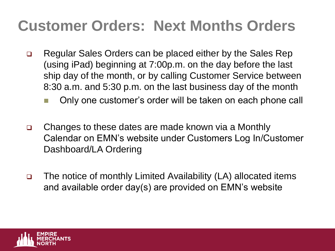# **Customer Orders: Next Months Orders**

- ❑ Regular Sales Orders can be placed either by the Sales Rep (using iPad) beginning at 7:00p.m. on the day before the last ship day of the month, or by calling Customer Service between 8:30 a.m. and 5:30 p.m. on the last business day of the month
	- Only one customer's order will be taken on each phone call
- ❑ Changes to these dates are made known via a Monthly Calendar on EMN's website under Customers Log In/Customer Dashboard/LA Ordering
- ❑ The notice of monthly Limited Availability (LA) allocated items and available order day(s) are provided on EMN's website

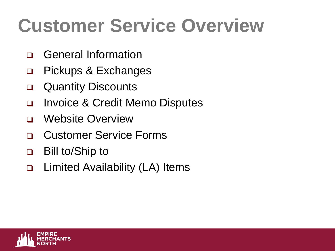# **Customer Service Overview**

- ❑ General Information
- ❑ Pickups & Exchanges
- ❑ Quantity Discounts
- ❑ Invoice & Credit Memo Disputes
- ❑ Website Overview
- ❑ Customer Service Forms
- ❑ Bill to/Ship to
- ❑ Limited Availability (LA) Items

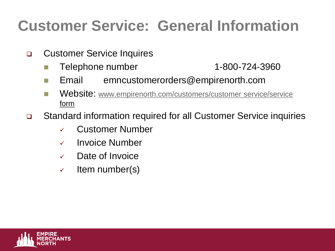# **Customer Service: General Information**

- ❑ Customer Service Inquires
	- Telephone number 1-800-724-3960
	- Email emncustomerorders@empirenorth.com
	- Website: [www.empirenorth.com/customers/customer service/service](http://www.empirenorth.com/customers/customerservice/service) [form](https://empirenorth.com/customers/customer-service/#service-form)
- ❑ Standard information required for all Customer Service inquiries
	- ✓ Customer Number
	- ✓ Invoice Number
	- ✓ Date of Invoice
	- $\checkmark$  Item number(s)

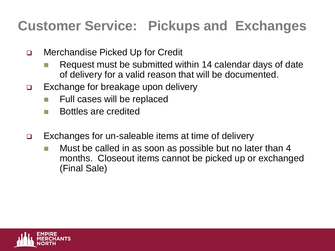### **Customer Service: Pickups and Exchanges**

- ❑ Merchandise Picked Up for Credit
	- Request must be submitted within 14 calendar days of date of delivery for a valid reason that will be documented.
- ❑ Exchange for breakage upon delivery
	- Full cases will be replaced
	- Bottles are credited
- ❑ Exchanges for un-saleable items at time of delivery
	- Must be called in as soon as possible but no later than 4 months. Closeout items cannot be picked up or exchanged (Final Sale)

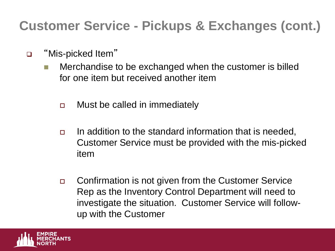### **Customer Service - Pickups & Exchanges (cont.)**

- ❑ "Mis-picked Item"
	- Merchandise to be exchanged when the customer is billed for one item but received another item
		- □ Must be called in immediately
		- In addition to the standard information that is needed, Customer Service must be provided with the mis-picked item
		- □ Confirmation is not given from the Customer Service Rep as the Inventory Control Department will need to investigate the situation. Customer Service will followup with the Customer

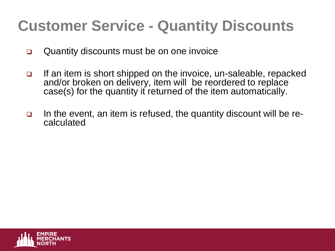# **Customer Service - Quantity Discounts**

- ❑ Quantity discounts must be on one invoice
- ❑ If an item is short shipped on the invoice, un-saleable, repacked and/or broken on delivery, item will be reordered to replace case(s) for the quantity it returned of the item automatically.
- ❑ In the event, an item is refused, the quantity discount will be recalculated

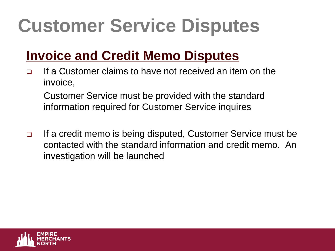# **Customer Service Disputes**

### **Invoice and Credit Memo Disputes**

❑ If a Customer claims to have not received an item on the invoice,

Customer Service must be provided with the standard information required for Customer Service inquires

❑ If a credit memo is being disputed, Customer Service must be contacted with the standard information and credit memo. An investigation will be launched

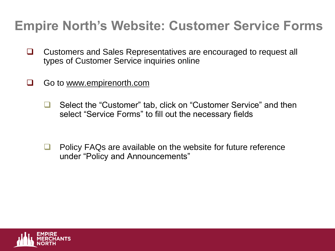### **Empire North's Website: Customer Service Forms**

- ❑ Customers and Sales Representatives are encouraged to request all types of Customer Service inquiries online
- ❑ Go to [www.empirenorth.com](http://www.empirenorth.com/)
	- ❑ Select the "Customer" tab, click on "Customer Service" and then select "Service Forms" to fill out the necessary fields
	- ❑ Policy FAQs are available on the website for future reference under "Policy and Announcements"

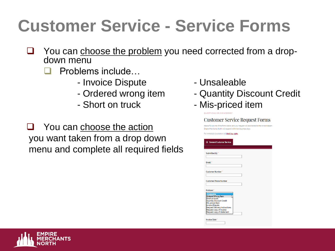# **Customer Service - Service Forms**

- □ You can choose the problem you need corrected from a dropdown menu
	- ❑ Problems include…
		- Invoice Dispute  **Unsaleable**
		-
		-

❑ You can choose the action you want taken from a drop down menu and complete all required fields

- 
- Ordered wrong item Quantity Discount Credit
- Short on truck  **Mis-priced item**

**Customer Service Request Forms** Please fill out one of the forms below and your request will be directed to the correct departs Empire Merchants North will respond within two business days nmediate assistance call (800) 724-3960 General Customer Service Submitted By Email: **Customer Number** 



**Invoice Date** 

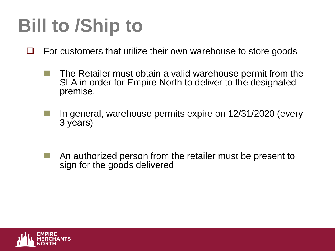# **Bill to /Ship to**

- ❑ For customers that utilize their own warehouse to store goods
	- The Retailer must obtain a valid warehouse permit from the SLA in order for Empire North to deliver to the designated premise.
	- In general, warehouse permits expire on 12/31/2020 (every 3 years)
	- An authorized person from the retailer must be present to sign for the goods delivered

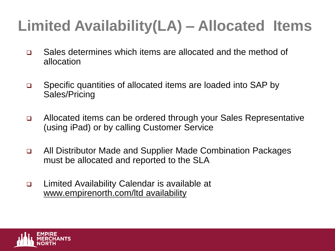# **Limited Availability(LA) – Allocated Items**

- ❑ Sales determines which items are allocated and the method of allocation
- ❑ Specific quantities of allocated items are loaded into SAP by Sales/Pricing
- ❑ Allocated items can be ordered through your Sales Representative (using iPad) or by calling Customer Service
- ❑ All Distributor Made and Supplier Made Combination Packages must be allocated and reported to the SLA
- ❑ Limited Availability Calendar is available at www.empirenorth.com/ltd availability

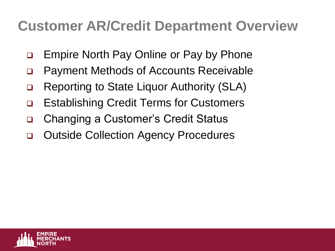### **Customer AR/Credit Department Overview**

- ❑ Empire North Pay Online or Pay by Phone
- ❑ Payment Methods of Accounts Receivable
- ❑ Reporting to State Liquor Authority (SLA)
- ❑ Establishing Credit Terms for Customers
- ❑ Changing a Customer's Credit Status
- ❑ Outside Collection Agency Procedures

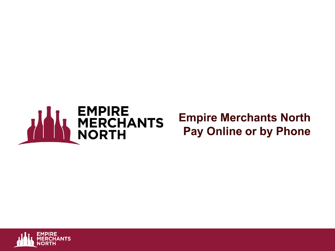

#### **Empire Merchants North Pay Online or by Phone**

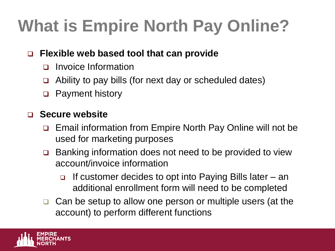# **What is Empire North Pay Online?**

#### ❑ **Flexible web based tool that can provide**

- ❑ Invoice Information
- ❑ Ability to pay bills (for next day or scheduled dates)
- ❑ Payment history

#### ❑ **Secure website**

- ❑ Email information from Empire North Pay Online will not be used for marketing purposes
- ❑ Banking information does not need to be provided to view account/invoice information
	- ❑ If customer decides to opt into Paying Bills later an additional enrollment form will need to be completed
- ❑ Can be setup to allow one person or multiple users (at the account) to perform different functions

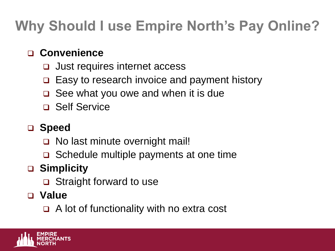# **Why Should I use Empire North's Pay Online?**

#### ❑ **Convenience**

- ❑ Just requires internet access
- ❑ Easy to research invoice and payment history
- ❑ See what you owe and when it is due
- ❑ Self Service

#### ❑ **Speed**

- ❑ No last minute overnight mail!
- ❑ Schedule multiple payments at one time

### ❑ **Simplicity**

❑ Straight forward to use

#### ❑ **Value**

❑ A lot of functionality with no extra cost

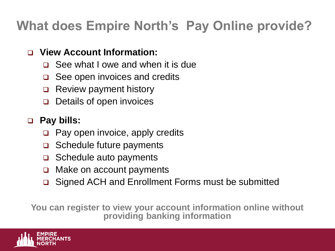### **What does Empire North's Pay Online provide?**

#### ❑ **View Account Information:**

- ❑ See what I owe and when it is due
- ❑ See open invoices and credits
- ❑ Review payment history
- ❑ Details of open invoices

#### ❑ **Pay bills:**

- ❑ Pay open invoice, apply credits
- ❑ Schedule future payments
- ❑ Schedule auto payments
- ❑ Make on account payments
- ❑ Signed ACH and Enrollment Forms must be submitted

**You can register to view your account information online without providing banking information**

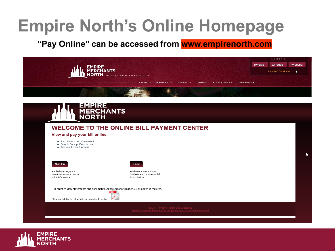# **Empire North's Online Homepage**

#### "Pay Online" can be accessed from www.empirenorth.com



|                                                                                           | <b>WELCOME TO THE ONLINE BILL PAYMENT CENTER</b> |
|-------------------------------------------------------------------------------------------|--------------------------------------------------|
| View and pay your bill online.<br>· Fast, Secure and Convenient                           |                                                  |
| • Easy to Set-up, Easy to Use<br>• 24-Hour Account Access                                 |                                                  |
|                                                                                           |                                                  |
|                                                                                           |                                                  |
| Sign On                                                                                   | Enroll                                           |
| Enrolled users enjoy the                                                                  | Enrollment is fast and easy.                     |
| billing information.                                                                      | to get started.                                  |
|                                                                                           |                                                  |
| In order to view statements and documents, Adobe Acrobat Reader 5.0 or above is required. |                                                  |
|                                                                                           |                                                  |
| benefits of secure access to                                                              | Just have your most recent bill                  |

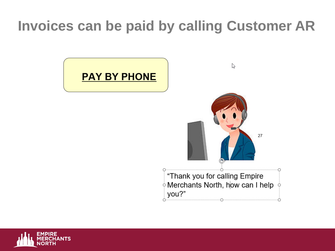### **Invoices can be paid by calling Customer AR**



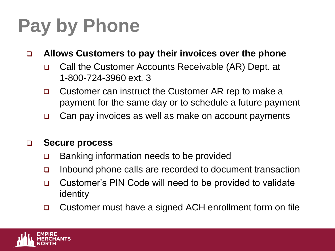# **Pay by Phone**

❑ **Allows Customers to pay their invoices over the phone**

- ❑ Call the Customer Accounts Receivable (AR) Dept. at 1-800-724-3960 ext. 3
- ❑ Customer can instruct the Customer AR rep to make a payment for the same day or to schedule a future payment
- ❑ Can pay invoices as well as make on account payments

#### ❑ **Secure process**

- ❑ Banking information needs to be provided
- ❑ Inbound phone calls are recorded to document transaction
- ❑ Customer's PIN Code will need to be provided to validate identity
- ❑ Customer must have a signed ACH enrollment form on file

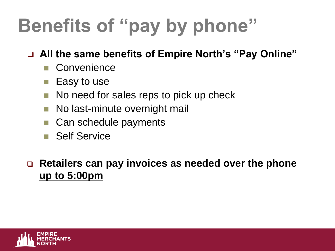# **Benefits of "pay by phone"**

#### ❑ **All the same benefits of Empire North's "Pay Online"**

- Convenience
- Easy to use
- No need for sales reps to pick up check
- No last-minute overnight mail
- Can schedule payments
- Self Service

#### ❑ **Retailers can pay invoices as needed over the phone up to 5:00pm**

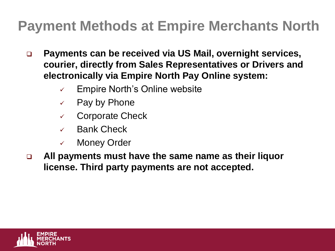# **Payment Methods at Empire Merchants North**

- ❑ **Payments can be received via US Mail, overnight services, courier, directly from Sales Representatives or Drivers and electronically via Empire North Pay Online system:** 
	- $\checkmark$  Empire North's Online website
	- $\checkmark$  Pay by Phone
	- ✓ Corporate Check
	- ✓ Bank Check
	- ✓ Money Order
- ❑ **All payments must have the same name as their liquor license. Third party payments are not accepted.**

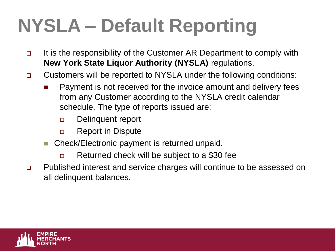# **NYSLA – Default Reporting**

- ❑ It is the responsibility of the Customer AR Department to comply with **New York State Liquor Authority (NYSLA)** regulations.
- ❑ Customers will be reported to NYSLA under the following conditions:
	- ◼ Payment is not received for the invoice amount and delivery fees from any Customer according to the NYSLA credit calendar schedule. The type of reports issued are:
		- Delinquent report
		- **Example 1** Report in Dispute
	- Check/Electronic payment is returned unpaid.
		- Returned check will be subject to a \$30 fee
- ❑ Published interest and service charges will continue to be assessed on all delinquent balances.

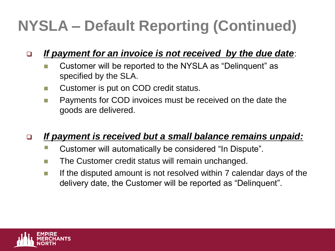# **NYSLA – Default Reporting (Continued)**

#### ❑ *If payment for an invoice is not received by the due date*:

- Customer will be reported to the NYSLA as "Delinguent" as specified by the SLA.
- Customer is put on COD credit status.
- Payments for COD invoices must be received on the date the goods are delivered.

#### ❑ *If payment is received but a small balance remains unpaid:*

- Customer will automatically be considered "In Dispute".
- The Customer credit status will remain unchanged.
- $\blacksquare$  If the disputed amount is not resolved within 7 calendar days of the delivery date, the Customer will be reported as "Delinquent".

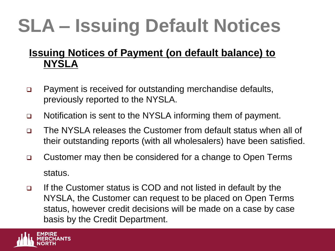# **SLA – Issuing Default Notices**

#### **Issuing Notices of Payment (on default balance) to NYSLA**

- ❑ Payment is received for outstanding merchandise defaults, previously reported to the NYSLA.
- ❑ Notification is sent to the NYSLA informing them of payment.
- ❑ The NYSLA releases the Customer from default status when all of their outstanding reports (with all wholesalers) have been satisfied.
- ❑ Customer may then be considered for a change to Open Terms status.
- ❑ If the Customer status is COD and not listed in default by the NYSLA, the Customer can request to be placed on Open Terms status, however credit decisions will be made on a case by case basis by the Credit Department.

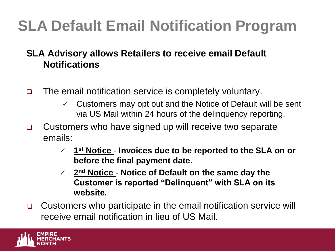# **SLA Default Email Notification Program**

#### **SLA Advisory allows Retailers to receive email Default Notifications**

- ❑ The email notification service is completely voluntary.
	- $\checkmark$  Customers may opt out and the Notice of Default will be sent via US Mail within 24 hours of the delinquency reporting.
- ❑ Customers who have signed up will receive two separate emails:
	- ✓ **1 st Notice Invoices due to be reported to the SLA on or before the final payment date**.
	- ✓ **2 nd Notice Notice of Default on the same day the Customer is reported "Delinquent" with SLA on its website.**
- ❑ Customers who participate in the email notification service will receive email notification in lieu of US Mail.

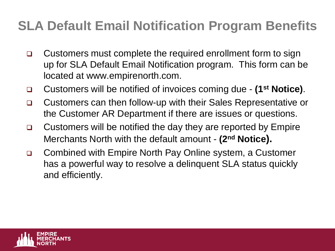### **SLA Default Email Notification Program Benefits**

- ❑ Customers must complete the required enrollment form to sign up for SLA Default Email Notification program. This form can be located at www.empirenorth.com.
- ❑ Customers will be notified of invoices coming due **(1st Notice)**.
- ❑ Customers can then follow-up with their Sales Representative or the Customer AR Department if there are issues or questions.
- ❑ Customers will be notified the day they are reported by Empire Merchants North with the default amount - **(2nd Notice).**
- ❑ Combined with Empire North Pay Online system, a Customer has a powerful way to resolve a delinquent SLA status quickly and efficiently.

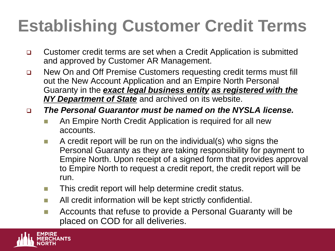# **Establishing Customer Credit Terms**

- ❑ Customer credit terms are set when a Credit Application is submitted and approved by Customer AR Management.
- ❑ New On and Off Premise Customers requesting credit terms must fill out the New Account Application and an Empire North Personal Guaranty in the *exact legal business entity as registered with the NY Department of State* and archived on its website.
- ❑ *The Personal Guarantor must be named on the NYSLA license.*
	- An Empire North Credit Application is required for all new accounts.
	- A credit report will be run on the individual(s) who signs the Personal Guaranty as they are taking responsibility for payment to Empire North. Upon receipt of a signed form that provides approval to Empire North to request a credit report, the credit report will be run.
	- This credit report will help determine credit status.
	- All credit information will be kept strictly confidential.
	- Accounts that refuse to provide a Personal Guaranty will be placed on COD for all deliveries.

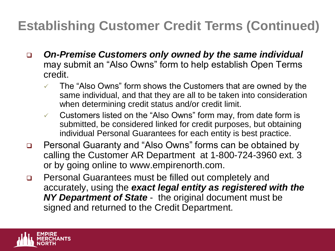### **Establishing Customer Credit Terms (Continued)**

- ❑ *On-Premise Customers only owned by the same individual*  may submit an "Also Owns" form to help establish Open Terms credit.
	- The "Also Owns" form shows the Customers that are owned by the same individual, and that they are all to be taken into consideration when determining credit status and/or credit limit.
	- $\checkmark$  Customers listed on the "Also Owns" form may, from date form is submitted, be considered linked for credit purposes, but obtaining individual Personal Guarantees for each entity is best practice.
- ❑ Personal Guaranty and "Also Owns" forms can be obtained by calling the Customer AR Department at 1-800-724-3960 ext. 3 or by going online to www.empirenorth.com.
- ❑ Personal Guarantees must be filled out completely and accurately, using the *exact legal entity as registered with the NY Department of State* - the original document must be signed and returned to the Credit Department.

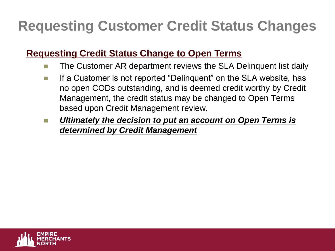# **Requesting Customer Credit Status Changes**

#### **Requesting Credit Status Change to Open Terms**

- The Customer AR department reviews the SLA Delinquent list daily
- If a Customer is not reported "Delinquent" on the SLA website, has no open CODs outstanding, and is deemed credit worthy by Credit Management, the credit status may be changed to Open Terms based upon Credit Management review.
- Ultimately the decision to put an account on Open Terms is *determined by Credit Management*

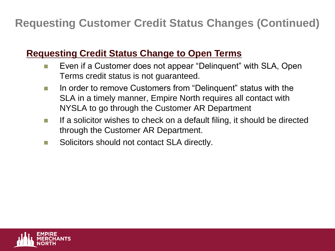**Requesting Customer Credit Status Changes (Continued)**

#### **Requesting Credit Status Change to Open Terms**

- Even if a Customer does not appear "Delinquent" with SLA, Open Terms credit status is not guaranteed.
- In order to remove Customers from "Delinquent" status with the SLA in a timely manner, Empire North requires all contact with NYSLA to go through the Customer AR Department
- If a solicitor wishes to check on a default filing, it should be directed through the Customer AR Department.
- Solicitors should not contact SLA directly.

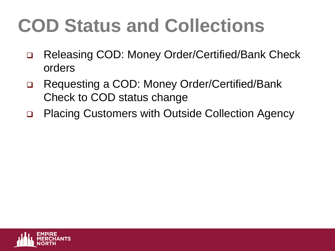# **COD Status and Collections**

- ❑ Releasing COD: Money Order/Certified/Bank Check orders
- ❑ Requesting a COD: Money Order/Certified/Bank Check to COD status change
- ❑ Placing Customers with Outside Collection Agency

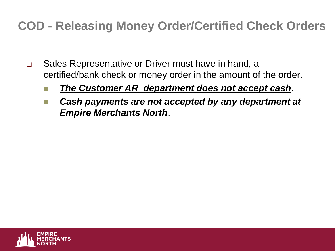### **COD - Releasing Money Order/Certified Check Orders**

- ❑ Sales Representative or Driver must have in hand, a certified/bank check or money order in the amount of the order.
	- **The Customer AR department does not accept cash.**
	- **Cash payments are not accepted by any department at** *Empire Merchants North*.

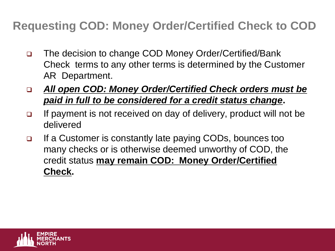### **Requesting COD: Money Order/Certified Check to COD**

- ❑ The decision to change COD Money Order/Certified/Bank Check terms to any other terms is determined by the Customer AR Department.
- ❑ *All open COD: Money Order/Certified Check orders must be paid in full to be considered for a credit status change***.**
- ❑ If payment is not received on day of delivery, product will not be delivered
- ❑ If a Customer is constantly late paying CODs, bounces too many checks or is otherwise deemed unworthy of COD, the credit status **may remain COD: Money Order/Certified Check.**